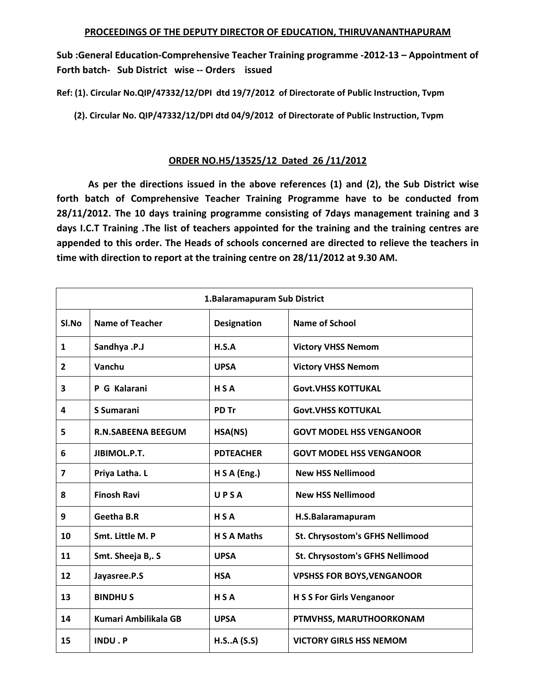**Sub :General Education‐Comprehensive Teacher Training programme ‐2012‐13 – Appointment of Forth batch‐ Sub District wise ‐‐ Orders issued** 

**Ref: (1). Circular No.QIP/47332/12/DPI dtd 19/7/2012 of Directorate of Public Instruction, Tvpm** 

 **(2). Circular No. QIP/47332/12/DPI dtd 04/9/2012 of Directorate of Public Instruction, Tvpm** 

## **ORDER NO.H5/13525/12 Dated 26 /11/2012**

 **As per the directions issued in the above references (1) and (2), the Sub District wise forth batch of Comprehensive Teacher Training Programme have to be conducted from 28/11/2012. The 10 days training programme consisting of 7days management training and 3 days I.C.T Training .The list of teachers appointed for the training and the training centres are appended to this order. The Heads of schools concerned are directed to relieve the teachers in time with direction to report at the training centre on 28/11/2012 at 9.30 AM.** 

| 1. Balaramapuram Sub District |                           |                    |                                   |
|-------------------------------|---------------------------|--------------------|-----------------------------------|
| Sl.No                         | <b>Name of Teacher</b>    | <b>Designation</b> | <b>Name of School</b>             |
| $\mathbf{1}$                  | Sandhya .P.J              | H.S.A              | <b>Victory VHSS Nemom</b>         |
| $\overline{2}$                | Vanchu                    | <b>UPSA</b>        | <b>Victory VHSS Nemom</b>         |
| 3                             | P G Kalarani              | HSA                | <b>Govt.VHSS KOTTUKAL</b>         |
| 4                             | S Sumarani                | PD Tr              | <b>Govt.VHSS KOTTUKAL</b>         |
| 5                             | <b>R.N.SABEENA BEEGUM</b> | HSA(NS)            | <b>GOVT MODEL HSS VENGANOOR</b>   |
| 6                             | JIBIMOL.P.T.              | <b>PDTEACHER</b>   | <b>GOVT MODEL HSS VENGANOOR</b>   |
| $\overline{7}$                | Priya Latha. L            | H S A (Eng.)       | <b>New HSS Nellimood</b>          |
| 8                             | <b>Finosh Ravi</b>        | UPSA               | <b>New HSS Nellimood</b>          |
| 9                             | <b>Geetha B.R</b>         | HSA                | H.S.Balaramapuram                 |
| 10                            | Smt. Little M. P          | <b>H S A Maths</b> | St. Chrysostom's GFHS Nellimood   |
| 11                            | Smt. Sheeja B,. S         | <b>UPSA</b>        | St. Chrysostom's GFHS Nellimood   |
| 12                            | Jayasree.P.S              | <b>HSA</b>         | <b>VPSHSS FOR BOYS, VENGANOOR</b> |
| 13                            | <b>BINDHUS</b>            | HSA                | <b>H S S For Girls Venganoor</b>  |
| 14                            | Kumari Ambilikala GB      | <b>UPSA</b>        | PTMVHSS, MARUTHOORKONAM           |
| 15                            | INDU.P                    | H.S.A(S.S)         | <b>VICTORY GIRLS HSS NEMOM</b>    |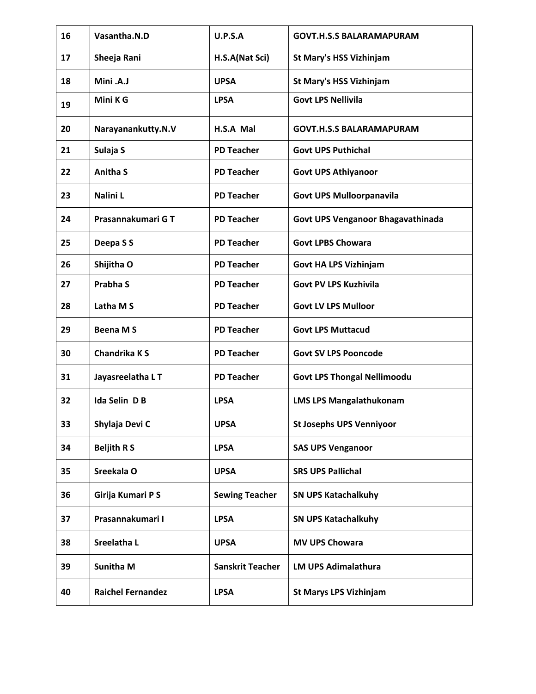| 16 | Vasantha.N.D             | U.P.S.A                 | <b>GOVT.H.S.S BALARAMAPURAM</b>    |
|----|--------------------------|-------------------------|------------------------------------|
| 17 | Sheeja Rani              | H.S.A(Nat Sci)          | <b>St Mary's HSS Vizhinjam</b>     |
| 18 | Mini .A.J                | <b>UPSA</b>             | <b>St Mary's HSS Vizhinjam</b>     |
| 19 | Mini K G                 | <b>LPSA</b>             | <b>Govt LPS Nellivila</b>          |
| 20 | Narayanankutty.N.V       | H.S.A Mal               | <b>GOVT.H.S.S BALARAMAPURAM</b>    |
| 21 | Sulaja S                 | <b>PD Teacher</b>       | <b>Govt UPS Puthichal</b>          |
| 22 | <b>Anitha S</b>          | <b>PD Teacher</b>       | <b>Govt UPS Athiyanoor</b>         |
| 23 | Nalini L                 | <b>PD Teacher</b>       | <b>Govt UPS Mulloorpanavila</b>    |
| 24 | Prasannakumari GT        | <b>PD Teacher</b>       | Govt UPS Venganoor Bhagavathinada  |
| 25 | Deepa S S                | <b>PD Teacher</b>       | <b>Govt LPBS Chowara</b>           |
| 26 | Shijitha O               | <b>PD Teacher</b>       | <b>Govt HA LPS Vizhinjam</b>       |
| 27 | <b>Prabha S</b>          | <b>PD Teacher</b>       | <b>Govt PV LPS Kuzhivila</b>       |
| 28 | Latha M S                | <b>PD Teacher</b>       | <b>Govt LV LPS Mulloor</b>         |
| 29 | <b>Beena MS</b>          | <b>PD Teacher</b>       | <b>Govt LPS Muttacud</b>           |
| 30 | Chandrika K S            | <b>PD Teacher</b>       | <b>Govt SV LPS Pooncode</b>        |
| 31 | Jayasreelatha L T        | <b>PD Teacher</b>       | <b>Govt LPS Thongal Nellimoodu</b> |
| 32 | Ida Selin D B            | <b>LPSA</b>             | <b>LMS LPS Mangalathukonam</b>     |
| 33 | Shylaja Devi C           | <b>UPSA</b>             | <b>St Josephs UPS Venniyoor</b>    |
| 34 | <b>Beljith RS</b>        | <b>LPSA</b>             | <b>SAS UPS Venganoor</b>           |
| 35 | Sreekala O               | <b>UPSA</b>             | <b>SRS UPS Pallichal</b>           |
| 36 | Girija Kumari P S        | <b>Sewing Teacher</b>   | <b>SN UPS Katachalkuhy</b>         |
| 37 | Prasannakumari I         | <b>LPSA</b>             | <b>SN UPS Katachalkuhy</b>         |
| 38 | Sreelatha L              | <b>UPSA</b>             | <b>MV UPS Chowara</b>              |
| 39 | <b>Sunitha M</b>         | <b>Sanskrit Teacher</b> | <b>LM UPS Adimalathura</b>         |
| 40 | <b>Raichel Fernandez</b> | <b>LPSA</b>             | <b>St Marys LPS Vizhinjam</b>      |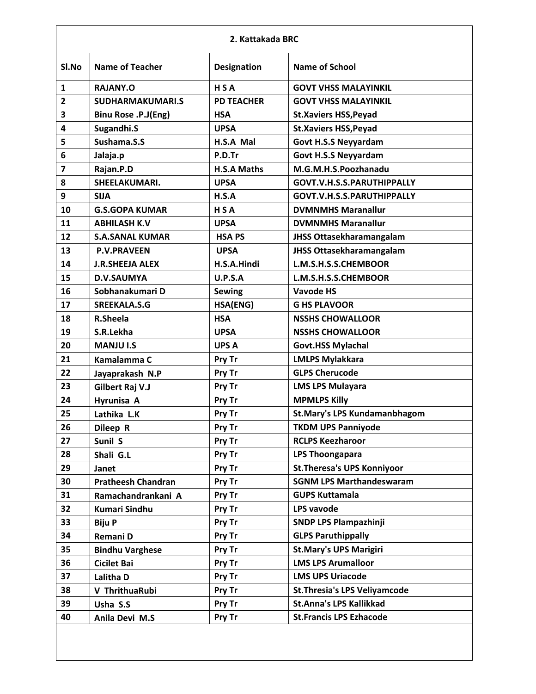| 2. Kattakada BRC        |                            |                    |                                      |
|-------------------------|----------------------------|--------------------|--------------------------------------|
| Sl.No                   | <b>Name of Teacher</b>     | <b>Designation</b> | <b>Name of School</b>                |
| $\mathbf{1}$            | RAJANY.O                   | <b>HSA</b>         | <b>GOVT VHSS MALAYINKIL</b>          |
| $\overline{2}$          | <b>SUDHARMAKUMARI.S</b>    | <b>PD TEACHER</b>  | <b>GOVT VHSS MALAYINKIL</b>          |
| 3                       | <b>Binu Rose .P.J(Eng)</b> | <b>HSA</b>         | <b>St.Xaviers HSS, Peyad</b>         |
| 4                       | Sugandhi.S                 | <b>UPSA</b>        | <b>St.Xaviers HSS, Peyad</b>         |
| 5                       | Sushama.S.S                | H.S.A Mal          | <b>Govt H.S.S Neyyardam</b>          |
| 6                       | Jalaja.p                   | P.D.Tr             | <b>Govt H.S.S Neyyardam</b>          |
| $\overline{\mathbf{z}}$ | Rajan.P.D                  | <b>H.S.A Maths</b> | M.G.M.H.S.Poozhanadu                 |
| 8                       | SHEELAKUMARI.              | <b>UPSA</b>        | GOVT.V.H.S.S.PARUTHIPPALLY           |
| 9                       | <b>SIJA</b>                | H.S.A              | GOVT.V.H.S.S.PARUTHIPPALLY           |
| 10                      | <b>G.S.GOPA KUMAR</b>      | <b>HSA</b>         | <b>DVMNMHS Maranallur</b>            |
| 11                      | <b>ABHILASH K.V</b>        | <b>UPSA</b>        | <b>DVMNMHS Maranallur</b>            |
| 12                      | <b>S.A.SANAL KUMAR</b>     | <b>HSAPS</b>       | <b>JHSS Ottasekharamangalam</b>      |
| 13                      | <b>P.V.PRAVEEN</b>         | <b>UPSA</b>        | <b>JHSS Ottasekharamangalam</b>      |
| 14                      | <b>J.R.SHEEJA ALEX</b>     | H.S.A.Hindi        | L.M.S.H.S.S.CHEMBOOR                 |
| 15                      | <b>D.V.SAUMYA</b>          | <b>U.P.S.A</b>     | L.M.S.H.S.S.CHEMBOOR                 |
| 16                      | Sobhanakumari D            | <b>Sewing</b>      | <b>Vavode HS</b>                     |
| 17                      | <b>SREEKALA.S.G</b>        | HSA(ENG)           | <b>G HS PLAVOOR</b>                  |
| 18                      | R.Sheela                   | <b>HSA</b>         | <b>NSSHS CHOWALLOOR</b>              |
| 19                      | S.R.Lekha                  | <b>UPSA</b>        | <b>NSSHS CHOWALLOOR</b>              |
| 20                      | <b>MANJU I.S</b>           | <b>UPS A</b>       | <b>Govt.HSS Mylachal</b>             |
| 21                      | Kamalamma C                | Pry Tr             | <b>LMLPS Mylakkara</b>               |
| 22                      | Jayaprakash N.P            | Pry Tr             | <b>GLPS Cherucode</b>                |
| 23                      | Gilbert Raj V.J            | Pry Tr             | <b>LMS LPS Mulayara</b>              |
| 24                      | Hyrunisa A                 | Pry Tr             | <b>MPMLPS Killy</b>                  |
| 25                      | Lathika L.K                | Pry Tr             | <b>St.Mary's LPS Kundamanbhagom</b>  |
| 26                      | Dileep R                   | Pry Tr             | <b>TKDM UPS Panniyode</b>            |
| 27                      | Sunil S                    | Pry Tr             | <b>RCLPS Keezharoor</b>              |
| 28                      | Shali G.L                  | Pry Tr             | <b>LPS Thoongapara</b>               |
| 29                      | Janet                      | Pry Tr             | <b>St. Theresa's UPS Konniyoor</b>   |
| 30                      | <b>Pratheesh Chandran</b>  | Pry Tr             | <b>SGNM LPS Marthandeswaram</b>      |
| 31                      | Ramachandrankani A         | Pry Tr             | <b>GUPS Kuttamala</b>                |
| 32                      | <b>Kumari Sindhu</b>       | Pry Tr             | <b>LPS vavode</b>                    |
| 33                      | <b>Biju P</b>              | Pry Tr             | <b>SNDP LPS Plampazhinji</b>         |
| 34                      | Remani D                   | Pry Tr             | <b>GLPS Paruthippally</b>            |
| 35                      | <b>Bindhu Varghese</b>     | Pry Tr             | <b>St.Mary's UPS Marigiri</b>        |
| 36                      | <b>Cicilet Bai</b>         | Pry Tr             | <b>LMS LPS Arumalloor</b>            |
| 37                      | Lalitha D                  | Pry Tr             | <b>LMS UPS Uriacode</b>              |
| 38                      | V ThrithuaRubi             | Pry Tr             | <b>St. Thresia's LPS Veliyamcode</b> |
| 39                      | Usha S.S                   | Pry Tr             | <b>St.Anna's LPS Kallikkad</b>       |
| 40                      | Anila Devi M.S             | Pry Tr             | <b>St.Francis LPS Ezhacode</b>       |
|                         |                            |                    |                                      |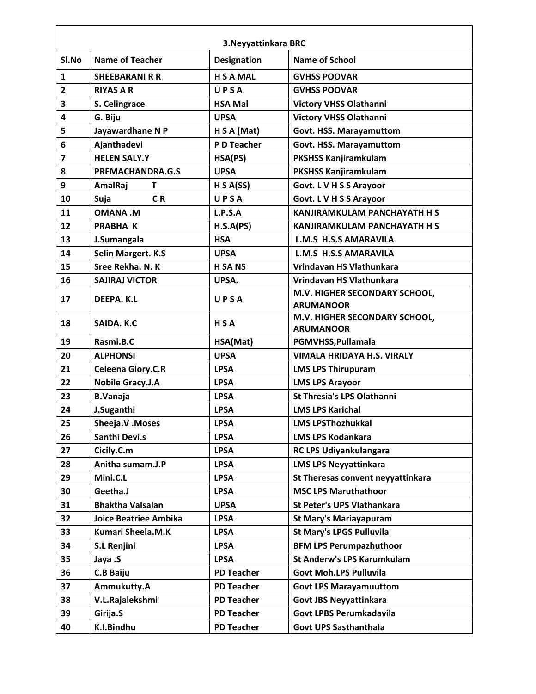|                         | 3. Neyyattinkara BRC         |                    |                                                   |  |
|-------------------------|------------------------------|--------------------|---------------------------------------------------|--|
| Sl.No                   | <b>Name of Teacher</b>       | <b>Designation</b> | <b>Name of School</b>                             |  |
| $\mathbf{1}$            | <b>SHEEBARANI R R</b>        | <b>H S A MAL</b>   | <b>GVHSS POOVAR</b>                               |  |
| $\overline{2}$          | <b>RIYAS A R</b>             | UPSA               | <b>GVHSS POOVAR</b>                               |  |
| 3                       | S. Celingrace                | <b>HSA Mal</b>     | <b>Victory VHSS Olathanni</b>                     |  |
| 4                       | G. Biju                      | <b>UPSA</b>        | <b>Victory VHSS Olathanni</b>                     |  |
| 5                       | Jayawardhane N P             | H S A (Mat)        | Govt. HSS. Marayamuttom                           |  |
| 6                       | Ajanthadevi                  | P D Teacher        | Govt. HSS. Marayamuttom                           |  |
| $\overline{\mathbf{z}}$ | <b>HELEN SALY.Y</b>          | HSA(PS)            | <b>PKSHSS Kanjiramkulam</b>                       |  |
| 8                       | PREMACHANDRA.G.S             | <b>UPSA</b>        | <b>PKSHSS Kanjiramkulam</b>                       |  |
| 9                       | AmalRaj<br>T                 | H S A(SS)          | Govt. L V H S S Arayoor                           |  |
| 10                      | C <sub>R</sub><br>Suja       | UPSA               | Govt. L V H S S Arayoor                           |  |
| 11                      | <b>M. AVAMO</b>              | L.P.S.A            | <b>KANJIRAMKULAM PANCHAYATH H S</b>               |  |
| 12                      | <b>PRABHA K</b>              | H.S.A(PS)          | KANJIRAMKULAM PANCHAYATH H S                      |  |
| 13                      | J.Sumangala                  | <b>HSA</b>         | <b>L.M.S. H.S.S AMARAVILA</b>                     |  |
| 14                      | Selin Margert. K.S           | <b>UPSA</b>        | <b>L.M.S H.S.S AMARAVILA</b>                      |  |
| 15                      | Sree Rekha, N. K             | <b>H SA NS</b>     | Vrindavan HS Vlathunkara                          |  |
| 16                      | <b>SAJIRAJ VICTOR</b>        | UPSA.              | Vrindavan HS Vlathunkara                          |  |
| 17                      | DEEPA. K.L                   | UPSA               | M.V. HIGHER SECONDARY SCHOOL,<br><b>ARUMANOOR</b> |  |
| 18                      | SAIDA, K.C.                  | HSA                | M.V. HIGHER SECONDARY SCHOOL,<br><b>ARUMANOOR</b> |  |
| 19                      | Rasmi.B.C                    | HSA(Mat)           | PGMVHSS, Pullamala                                |  |
| 20                      | <b>ALPHONSI</b>              | <b>UPSA</b>        | <b>VIMALA HRIDAYA H.S. VIRALY</b>                 |  |
| 21                      | <b>Celeena Glory.C.R</b>     | <b>LPSA</b>        | <b>LMS LPS Thirupuram</b>                         |  |
| 22                      | <b>Nobile Gracy.J.A</b>      | <b>LPSA</b>        | <b>LMS LPS Arayoor</b>                            |  |
| 23                      | <b>B.Vanaja</b>              | <b>LPSA</b>        | <b>St Thresia's LPS Olathanni</b>                 |  |
| 24                      | J.Suganthi                   | <b>LPSA</b>        | <b>LMS LPS Karichal</b>                           |  |
| 25                      | Sheeja.V.Moses               | <b>LPSA</b>        | <b>LMS LPSThozhukkal</b>                          |  |
| 26                      | Santhi Devi.s                | <b>LPSA</b>        | <b>LMS LPS Kodankara</b>                          |  |
| 27                      | Cicily.C.m                   | <b>LPSA</b>        | RC LPS Udiyankulangara                            |  |
| 28                      | Anitha sumam.J.P             | <b>LPSA</b>        | <b>LMS LPS Neyyattinkara</b>                      |  |
| 29                      | Mini.C.L                     | <b>LPSA</b>        | St Theresas convent neyyattinkara                 |  |
| 30                      | Geetha.J                     | <b>LPSA</b>        | <b>MSC LPS Maruthathoor</b>                       |  |
| 31                      | <b>Bhaktha Valsalan</b>      | <b>UPSA</b>        | <b>St Peter's UPS Vlathankara</b>                 |  |
| 32                      | <b>Joice Beatriee Ambika</b> | <b>LPSA</b>        | <b>St Mary's Mariayapuram</b>                     |  |
| 33                      | <b>Kumari Sheela.M.K</b>     | <b>LPSA</b>        | <b>St Mary's LPGS Pulluvila</b>                   |  |
| 34                      | <b>S.L Renjini</b>           | <b>LPSA</b>        | <b>BFM LPS Perumpazhuthoor</b>                    |  |
| 35                      | Jaya .S                      | <b>LPSA</b>        | <b>St Anderw's LPS Karumkulam</b>                 |  |
| 36                      | C.B Baiju                    | <b>PD Teacher</b>  | <b>Govt Moh.LPS Pulluvila</b>                     |  |
| 37                      | Ammukutty.A                  | <b>PD Teacher</b>  | <b>Govt LPS Marayamuuttom</b>                     |  |
| 38                      | V.L.Rajalekshmi              | <b>PD Teacher</b>  | <b>Govt JBS Neyyattinkara</b>                     |  |
| 39                      | Girija.S                     | <b>PD Teacher</b>  | Govt LPBS Perumkadavila                           |  |
| 40                      | K.I.Bindhu                   | <b>PD Teacher</b>  | <b>Govt UPS Sasthanthala</b>                      |  |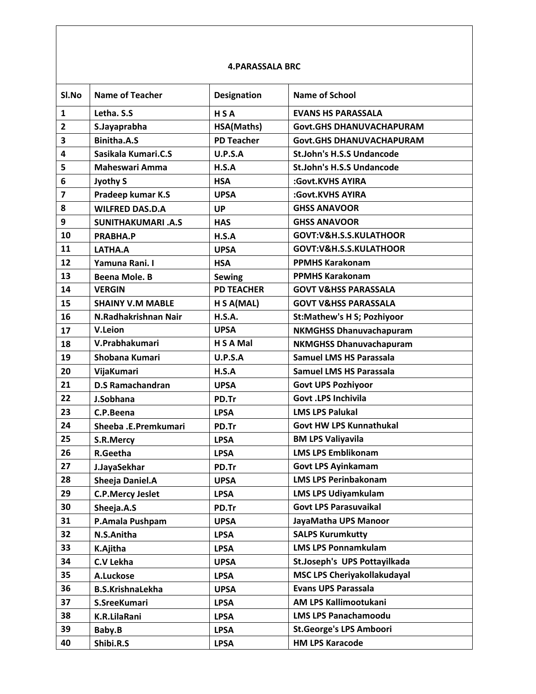## **4.PARASSALA BRC**

| Sl.No                   | <b>Name of Teacher</b>   | <b>Designation</b> | <b>Name of School</b>              |
|-------------------------|--------------------------|--------------------|------------------------------------|
| $\mathbf{1}$            | Letha. S.S               | <b>HSA</b>         | <b>EVANS HS PARASSALA</b>          |
| $\overline{2}$          | S.Jayaprabha             | HSA(Maths)         | <b>Govt.GHS DHANUVACHAPURAM</b>    |
| 3                       | <b>Binitha.A.S</b>       | <b>PD Teacher</b>  | <b>Govt.GHS DHANUVACHAPURAM</b>    |
| 4                       | Sasikala Kumari.C.S      | <b>U.P.S.A</b>     | <b>St.John's H.S.S Undancode</b>   |
| 5                       | <b>Maheswari Amma</b>    | H.S.A              | <b>St.John's H.S.S Undancode</b>   |
| 6                       | <b>Jyothy S</b>          | <b>HSA</b>         | :Govt.KVHS AYIRA                   |
| $\overline{\mathbf{z}}$ | Pradeep kumar K.S        | <b>UPSA</b>        | :Govt.KVHS AYIRA                   |
| 8                       | <b>WILFRED DAS.D.A</b>   | <b>UP</b>          | <b>GHSS ANAVOOR</b>                |
| 9                       | <b>SUNITHAKUMARI.A.S</b> | <b>HAS</b>         | <b>GHSS ANAVOOR</b>                |
| 10                      | PRABHA.P                 | H.S.A              | GOVT:V&H.S.S.KULATHOOR             |
| 11                      | LATHA.A                  | <b>UPSA</b>        | GOVT:V&H.S.S.KULATHOOR             |
| 12                      | Yamuna Rani. I           | <b>HSA</b>         | <b>PPMHS Karakonam</b>             |
| 13                      | <b>Beena Mole. B</b>     | <b>Sewing</b>      | <b>PPMHS Karakonam</b>             |
| 14                      | <b>VERGIN</b>            | <b>PD TEACHER</b>  | <b>GOVT V&amp;HSS PARASSALA</b>    |
| 15                      | <b>SHAINY V.M MABLE</b>  | H S A(MAL)         | <b>GOVT V&amp;HSS PARASSALA</b>    |
| 16                      | N.Radhakrishnan Nair     | H.S.A.             | <b>St:Mathew's H S; Pozhiyoor</b>  |
| 17                      | V.Leion                  | <b>UPSA</b>        | <b>NKMGHSS Dhanuvachapuram</b>     |
| 18                      | V.Prabhakumari           | H S A Mal          | <b>NKMGHSS Dhanuvachapuram</b>     |
| 19                      | Shobana Kumari           | U.P.S.A            | <b>Samuel LMS HS Parassala</b>     |
| 20                      | VijaKumari               | H.S.A              | <b>Samuel LMS HS Parassala</b>     |
| 21                      | <b>D.S Ramachandran</b>  | <b>UPSA</b>        | <b>Govt UPS Pozhiyoor</b>          |
| 22                      | J.Sobhana                | PD.Tr              | <b>Govt .LPS Inchivila</b>         |
| 23                      | C.P.Beena                | <b>LPSA</b>        | <b>LMS LPS Palukal</b>             |
| 24                      | Sheeba .E.Premkumari     | PD.Tr              | <b>Govt HW LPS Kunnathukal</b>     |
| 25                      | S.R.Mercy                | <b>LPSA</b>        | <b>BM LPS Valiyavila</b>           |
| 26                      | R.Geetha                 | <b>LPSA</b>        | <b>LMS LPS Emblikonam</b>          |
| 27                      | J.JayaSekhar             | PD.Tr              | <b>Govt LPS Ayinkamam</b>          |
| 28                      | Sheeja Daniel.A          | <b>UPSA</b>        | <b>LMS LPS Perinbakonam</b>        |
| 29                      | <b>C.P.Mercy Jeslet</b>  | <b>LPSA</b>        | <b>LMS LPS Udiyamkulam</b>         |
| 30                      | Sheeja.A.S               | PD.Tr              | <b>Govt LPS Parasuvaikal</b>       |
| 31                      | P.Amala Pushpam          | <b>UPSA</b>        | JayaMatha UPS Manoor               |
| 32                      | N.S.Anitha               | <b>LPSA</b>        | <b>SALPS Kurumkutty</b>            |
| 33                      | K.Ajitha                 | <b>LPSA</b>        | <b>LMS LPS Ponnamkulam</b>         |
| 34                      | C.V Lekha                | <b>UPSA</b>        | St.Joseph's UPS Pottayilkada       |
| 35                      | A.Luckose                | <b>LPSA</b>        | <b>MSC LPS Cheriyakollakudayal</b> |
| 36                      | <b>B.S.KrishnaLekha</b>  | <b>UPSA</b>        | <b>Evans UPS Parassala</b>         |
| 37                      | S.SreeKumari             | <b>LPSA</b>        | AM LPS Kallimootukani              |
| 38                      | K.R.LilaRani             | <b>LPSA</b>        | <b>LMS LPS Panachamoodu</b>        |
| 39                      | Baby.B                   | <b>LPSA</b>        | <b>St.George's LPS Amboori</b>     |
| 40                      | Shibi.R.S                | <b>LPSA</b>        | <b>HM LPS Karacode</b>             |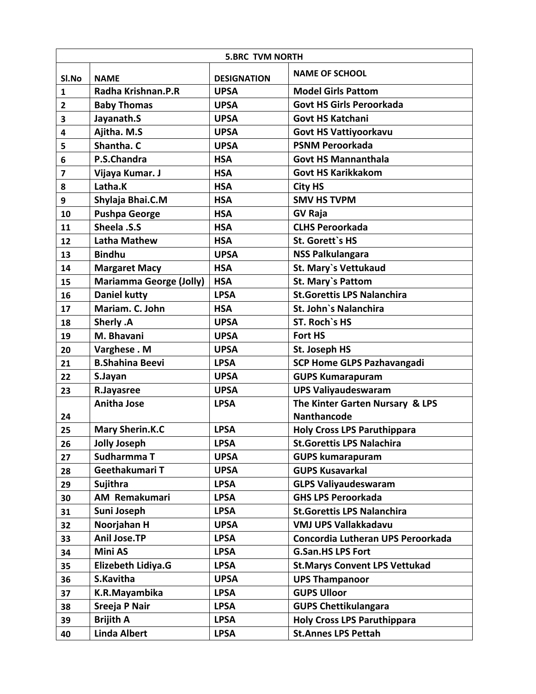| <b>5.BRC TVM NORTH</b>  |                                |                    |                                      |
|-------------------------|--------------------------------|--------------------|--------------------------------------|
| SI.No                   | <b>NAME</b>                    | <b>DESIGNATION</b> | <b>NAME OF SCHOOL</b>                |
| $\mathbf{1}$            | Radha Krishnan.P.R             | <b>UPSA</b>        | <b>Model Girls Pattom</b>            |
| $\overline{2}$          | <b>Baby Thomas</b>             | <b>UPSA</b>        | <b>Govt HS Girls Peroorkada</b>      |
| 3                       | Jayanath.S                     | <b>UPSA</b>        | <b>Govt HS Katchani</b>              |
| 4                       | Ajitha. M.S                    | <b>UPSA</b>        | <b>Govt HS Vattiyoorkavu</b>         |
| 5                       | Shantha. C                     | <b>UPSA</b>        | <b>PSNM Peroorkada</b>               |
| 6                       | P.S.Chandra                    | <b>HSA</b>         | <b>Govt HS Mannanthala</b>           |
| $\overline{\mathbf{z}}$ | Vijaya Kumar. J                | <b>HSA</b>         | <b>Govt HS Karikkakom</b>            |
| 8                       | Latha.K                        | <b>HSA</b>         | <b>City HS</b>                       |
| 9                       | Shylaja Bhai.C.M               | <b>HSA</b>         | <b>SMV HS TVPM</b>                   |
| 10                      | <b>Pushpa George</b>           | <b>HSA</b>         | <b>GV Raja</b>                       |
| 11                      | Sheela .S.S                    | <b>HSA</b>         | <b>CLHS Peroorkada</b>               |
| 12                      | <b>Latha Mathew</b>            | <b>HSA</b>         | St. Gorett's HS                      |
| 13                      | <b>Bindhu</b>                  | <b>UPSA</b>        | <b>NSS Palkulangara</b>              |
| 14                      | <b>Margaret Macy</b>           | <b>HSA</b>         | <b>St. Mary's Vettukaud</b>          |
| 15                      | <b>Mariamma George (Jolly)</b> | <b>HSA</b>         | <b>St. Mary's Pattom</b>             |
| 16                      | <b>Daniel kutty</b>            | <b>LPSA</b>        | <b>St.Gorettis LPS Nalanchira</b>    |
| 17                      | Mariam. C. John                | <b>HSA</b>         | St. John's Nalanchira                |
| 18                      | Sherly .A                      | <b>UPSA</b>        | ST. Roch's HS                        |
| 19                      | M. Bhavani                     | <b>UPSA</b>        | Fort HS                              |
| 20                      | Varghese . M                   | <b>UPSA</b>        | St. Joseph HS                        |
| 21                      | <b>B.Shahina Beevi</b>         | <b>LPSA</b>        | <b>SCP Home GLPS Pazhavangadi</b>    |
| 22                      | S.Jayan                        | <b>UPSA</b>        | <b>GUPS Kumarapuram</b>              |
| 23                      | R.Jayasree                     | <b>UPSA</b>        | <b>UPS Valiyaudeswaram</b>           |
|                         | <b>Anitha Jose</b>             | <b>LPSA</b>        | The Kinter Garten Nursary & LPS      |
| 24                      |                                |                    | <b>Nanthancode</b>                   |
| 25                      | <b>Mary Sherin.K.C</b>         | <b>LPSA</b>        | <b>Holy Cross LPS Paruthippara</b>   |
| 26                      | <b>Jolly Joseph</b>            | <b>LPSA</b>        | <b>St.Gorettis LPS Nalachira</b>     |
| 27                      | Sudharmma T                    | <b>UPSA</b>        | <b>GUPS kumarapuram</b>              |
| 28                      | Geethakumari T                 | <b>UPSA</b>        | <b>GUPS Kusavarkal</b>               |
| 29                      | Sujithra                       | <b>LPSA</b>        | <b>GLPS Valiyaudeswaram</b>          |
| 30                      | <b>AM Remakumari</b>           | <b>LPSA</b>        | <b>GHS LPS Peroorkada</b>            |
| 31                      | Suni Joseph                    | <b>LPSA</b>        | <b>St.Gorettis LPS Nalanchira</b>    |
| 32                      | Noorjahan H                    | <b>UPSA</b>        | <b>VMJ UPS Vallakkadavu</b>          |
| 33                      | <b>Anil Jose.TP</b>            | <b>LPSA</b>        | Concordia Lutheran UPS Peroorkada    |
| 34                      | <b>Mini AS</b>                 | <b>LPSA</b>        | <b>G.San.HS LPS Fort</b>             |
| 35                      | <b>Elizebeth Lidiya.G</b>      | <b>LPSA</b>        | <b>St.Marys Convent LPS Vettukad</b> |
| 36                      | S.Kavitha                      | <b>UPSA</b>        | <b>UPS Thampanoor</b>                |
| 37                      | K.R.Mayambika                  | <b>LPSA</b>        | <b>GUPS Ulloor</b>                   |
| 38                      | Sreeja P Nair                  | <b>LPSA</b>        | <b>GUPS Chettikulangara</b>          |
| 39                      | <b>Brijith A</b>               | <b>LPSA</b>        | <b>Holy Cross LPS Paruthippara</b>   |
| 40                      | <b>Linda Albert</b>            | <b>LPSA</b>        | <b>St.Annes LPS Pettah</b>           |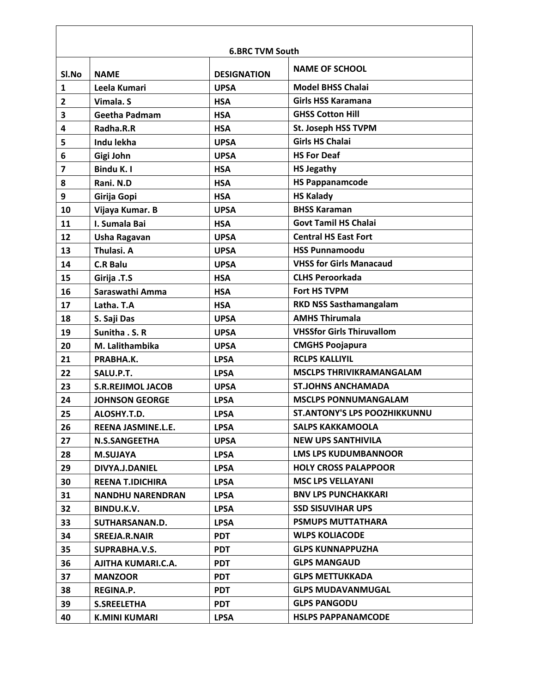| <b>6.BRC TVM South</b>  |                          |                    |                                     |
|-------------------------|--------------------------|--------------------|-------------------------------------|
| Sl.No                   | <b>NAMF</b>              | <b>DESIGNATION</b> | <b>NAME OF SCHOOL</b>               |
| 1                       | Leela Kumari             | <b>UPSA</b>        | <b>Model BHSS Chalai</b>            |
| $\overline{2}$          | Vimala. S                | <b>HSA</b>         | <b>Girls HSS Karamana</b>           |
| 3                       | <b>Geetha Padmam</b>     | <b>HSA</b>         | <b>GHSS Cotton Hill</b>             |
| 4                       | Radha.R.R                | <b>HSA</b>         | St. Joseph HSS TVPM                 |
| 5                       | Indu lekha               | <b>UPSA</b>        | <b>Girls HS Chalai</b>              |
| 6                       | Gigi John                | <b>UPSA</b>        | <b>HS For Deaf</b>                  |
| $\overline{\mathbf{z}}$ | Bindu K. I               | <b>HSA</b>         | <b>HS Jegathy</b>                   |
| 8                       | Rani. N.D                | <b>HSA</b>         | <b>HS Pappanamcode</b>              |
| 9                       | Girija Gopi              | <b>HSA</b>         | <b>HS Kalady</b>                    |
| 10                      | Vijaya Kumar. B          | <b>UPSA</b>        | <b>BHSS Karaman</b>                 |
| 11                      | I. Sumala Bai            | <b>HSA</b>         | <b>Govt Tamil HS Chalai</b>         |
| 12                      | Usha Ragavan             | <b>UPSA</b>        | <b>Central HS East Fort</b>         |
| 13                      | Thulasi. A               | <b>UPSA</b>        | <b>HSS Punnamoodu</b>               |
| 14                      | <b>C.R Balu</b>          | <b>UPSA</b>        | <b>VHSS for Girls Manacaud</b>      |
| 15                      | Girija .T.S              | <b>HSA</b>         | <b>CLHS Peroorkada</b>              |
| 16                      | Saraswathi Amma          | <b>HSA</b>         | <b>Fort HS TVPM</b>                 |
| 17                      | Latha. T.A               | <b>HSA</b>         | <b>RKD NSS Sasthamangalam</b>       |
| 18                      | S. Saji Das              | <b>UPSA</b>        | <b>AMHS Thirumala</b>               |
| 19                      | Sunitha . S. R           | <b>UPSA</b>        | <b>VHSSfor Girls Thiruvallom</b>    |
| 20                      | M. Lalithambika          | <b>UPSA</b>        | <b>CMGHS Poojapura</b>              |
| 21                      | PRABHA.K.                | <b>LPSA</b>        | <b>RCLPS KALLIYIL</b>               |
| 22                      | SALU.P.T.                | <b>LPSA</b>        | <b>MSCLPS THRIVIKRAMANGALAM</b>     |
| 23                      | <b>S.R.REJIMOL JACOB</b> | <b>UPSA</b>        | <b>ST.JOHNS ANCHAMADA</b>           |
| 24                      | <b>JOHNSON GEORGE</b>    | <b>LPSA</b>        | <b>MSCLPS PONNUMANGALAM</b>         |
| 25                      | ALOSHY.T.D.              | <b>LPSA</b>        | <b>ST.ANTONY'S LPS POOZHIKKUNNU</b> |
| 26                      | REENA JASMINE.L.E.       | <b>LPSA</b>        | <b>SALPS KAKKAMOOLA</b>             |
| 27                      | <b>N.S.SANGEETHA</b>     | <b>UPSA</b>        | <b>NEW UPS SANTHIVILA</b>           |
| 28                      | <b>M.SUJAYA</b>          | <b>LPSA</b>        | <b>LMS LPS KUDUMBANNOOR</b>         |
| 29                      | DIVYA.J.DANIEL           | <b>LPSA</b>        | <b>HOLY CROSS PALAPPOOR</b>         |
| 30                      | <b>REENA T.IDICHIRA</b>  | <b>LPSA</b>        | <b>MSC LPS VELLAYANI</b>            |
| 31                      | <b>NANDHU NARENDRAN</b>  | <b>LPSA</b>        | <b>BNV LPS PUNCHAKKARI</b>          |
| 32                      | BINDU.K.V.               | <b>LPSA</b>        | <b>SSD SISUVIHAR UPS</b>            |
| 33                      | SUTHARSANAN.D.           | <b>LPSA</b>        | <b>PSMUPS MUTTATHARA</b>            |
| 34                      | SREEJA.R.NAIR            | <b>PDT</b>         | <b>WLPS KOLIACODE</b>               |
| 35                      | SUPRABHA.V.S.            | <b>PDT</b>         | <b>GLPS KUNNAPPUZHA</b>             |
| 36                      | AJITHA KUMARI.C.A.       | <b>PDT</b>         | <b>GLPS MANGAUD</b>                 |
| 37                      | <b>MANZOOR</b>           | <b>PDT</b>         | <b>GLPS METTUKKADA</b>              |
| 38                      | <b>REGINA.P.</b>         | <b>PDT</b>         | <b>GLPS MUDAVANMUGAL</b>            |
| 39                      | <b>S.SREELETHA</b>       | <b>PDT</b>         | <b>GLPS PANGODU</b>                 |
| 40                      | <b>K.MINI KUMARI</b>     | <b>LPSA</b>        | <b>HSLPS PAPPANAMCODE</b>           |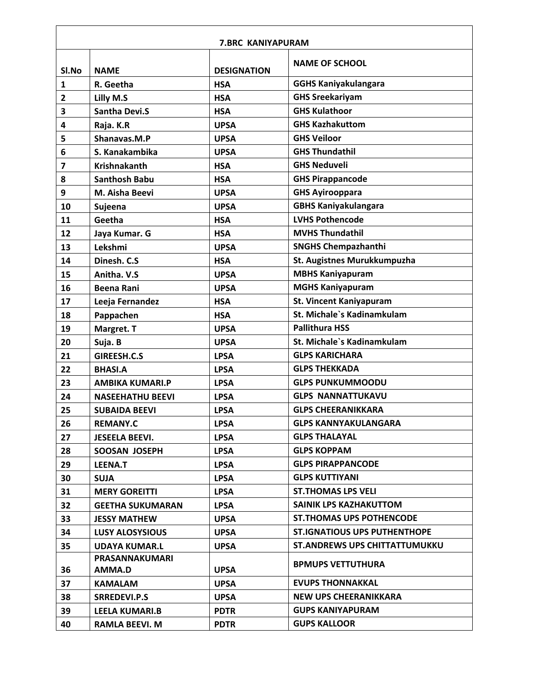| <b>7.BRC KANIYAPURAM</b> |                         |                    |                                      |
|--------------------------|-------------------------|--------------------|--------------------------------------|
| Sl.No                    | <b>NAME</b>             | <b>DESIGNATION</b> | <b>NAME OF SCHOOL</b>                |
| 1                        | R. Geetha               | <b>HSA</b>         | <b>GGHS Kaniyakulangara</b>          |
| 2                        | Lilly M.S               | <b>HSA</b>         | <b>GHS Sreekariyam</b>               |
| 3                        | <b>Santha Devi.S</b>    | <b>HSA</b>         | <b>GHS Kulathoor</b>                 |
| 4                        | Raja. K.R               | <b>UPSA</b>        | <b>GHS Kazhakuttom</b>               |
| 5                        | Shanavas.M.P            | <b>UPSA</b>        | <b>GHS Veiloor</b>                   |
| 6                        | S. Kanakambika          | <b>UPSA</b>        | <b>GHS Thundathil</b>                |
| $\overline{\mathbf{z}}$  | <b>Krishnakanth</b>     | <b>HSA</b>         | <b>GHS Neduveli</b>                  |
| 8                        | <b>Santhosh Babu</b>    | <b>HSA</b>         | <b>GHS Pirappancode</b>              |
| 9                        | M. Aisha Beevi          | <b>UPSA</b>        | <b>GHS Ayirooppara</b>               |
| 10                       | Sujeena                 | <b>UPSA</b>        | <b>GBHS Kaniyakulangara</b>          |
| 11                       | Geetha                  | <b>HSA</b>         | <b>LVHS Pothencode</b>               |
| 12                       | Jaya Kumar. G           | <b>HSA</b>         | <b>MVHS Thundathil</b>               |
| 13                       | Lekshmi                 | <b>UPSA</b>        | <b>SNGHS Chempazhanthi</b>           |
| 14                       | Dinesh. C.S             | <b>HSA</b>         | St. Augistnes Murukkumpuzha          |
| 15                       | Anitha. V.S             | <b>UPSA</b>        | <b>MBHS Kaniyapuram</b>              |
| 16                       | <b>Beena Rani</b>       | <b>UPSA</b>        | <b>MGHS Kaniyapuram</b>              |
| 17                       | Leeja Fernandez         | <b>HSA</b>         | <b>St. Vincent Kaniyapuram</b>       |
| 18                       | Pappachen               | <b>HSA</b>         | St. Michale's Kadinamkulam           |
| 19                       | Margret. T              | <b>UPSA</b>        | <b>Pallithura HSS</b>                |
| 20                       | Suja. B                 | <b>UPSA</b>        | St. Michale's Kadinamkulam           |
| 21                       | GIREESH.C.S             | <b>LPSA</b>        | <b>GLPS KARICHARA</b>                |
| 22                       | <b>BHASI.A</b>          | <b>LPSA</b>        | <b>GLPS THEKKADA</b>                 |
| 23                       | <b>AMBIKA KUMARI.P</b>  | <b>LPSA</b>        | <b>GLPS PUNKUMMOODU</b>              |
| 24                       | <b>NASEEHATHU BEEVI</b> | <b>LPSA</b>        | <b>GLPS NANNATTUKAVU</b>             |
| 25                       | <b>SUBAIDA BEEVI</b>    | <b>LPSA</b>        | <b>GLPS CHEERANIKKARA</b>            |
| 26                       | <b>REMANY.C</b>         | <b>LPSA</b>        | <b>GLPS KANNYAKULANGARA</b>          |
| 27                       | <b>JESEELA BEEVI.</b>   | <b>LPSA</b>        | <b>GLPS THALAYAL</b>                 |
| 28                       | SOOSAN JOSEPH           | <b>LPSA</b>        | <b>GLPS KOPPAM</b>                   |
| 29                       | LEENA.T                 | <b>LPSA</b>        | <b>GLPS PIRAPPANCODE</b>             |
| 30                       | <b>SUJA</b>             | <b>LPSA</b>        | <b>GLPS KUTTIYANI</b>                |
| 31                       | <b>MERY GOREITTI</b>    | <b>LPSA</b>        | <b>ST. THOMAS LPS VELI</b>           |
| 32                       | <b>GEETHA SUKUMARAN</b> | <b>LPSA</b>        | SAINIK LPS KAZHAKUTTOM               |
| 33                       | <b>JESSY MATHEW</b>     | <b>UPSA</b>        | <b>ST. THOMAS UPS POTHENCODE</b>     |
| 34                       | <b>LUSY ALOSYSIOUS</b>  | <b>UPSA</b>        | <b>ST.IGNATIOUS UPS PUTHENTHOPE</b>  |
| 35                       | <b>UDAYA KUMAR.L</b>    | <b>UPSA</b>        | <b>ST.ANDREWS UPS CHITTATTUMUKKU</b> |
|                          | PRASANNAKUMARI          |                    |                                      |
| 36                       | AMMA.D                  | <b>UPSA</b>        | <b>BPMUPS VETTUTHURA</b>             |
| 37                       | <b>KAMALAM</b>          | <b>UPSA</b>        | <b>EVUPS THONNAKKAL</b>              |
| 38                       | <b>SRREDEVI.P.S</b>     | <b>UPSA</b>        | <b>NEW UPS CHEERANIKKARA</b>         |
| 39                       | <b>LEELA KUMARI.B</b>   | <b>PDTR</b>        | <b>GUPS KANIYAPURAM</b>              |
| 40                       | <b>RAMLA BEEVI. M</b>   | <b>PDTR</b>        | <b>GUPS KALLOOR</b>                  |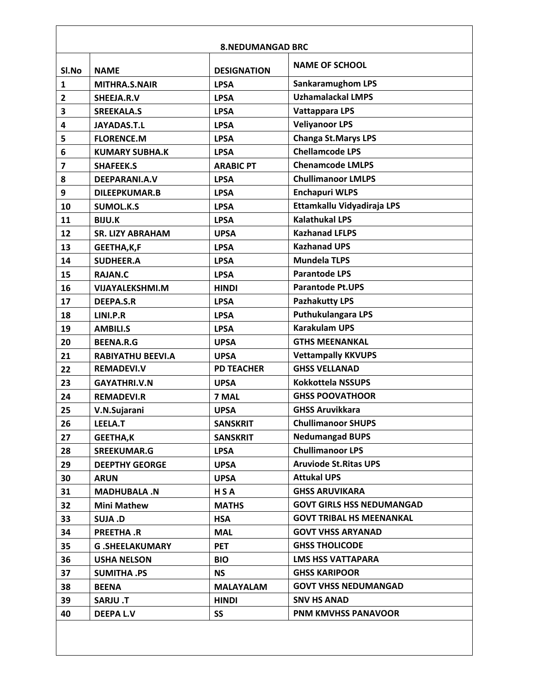| <b>8.NEDUMANGAD BRC</b> |                          |                    |                                  |
|-------------------------|--------------------------|--------------------|----------------------------------|
| SI.No                   | <b>NAME</b>              | <b>DESIGNATION</b> | <b>NAME OF SCHOOL</b>            |
| $\mathbf{1}$            | MITHRA.S.NAIR            | <b>LPSA</b>        | <b>Sankaramughom LPS</b>         |
| $\mathbf{2}$            | SHEEJA.R.V               | <b>LPSA</b>        | <b>Uzhamalackal LMPS</b>         |
| 3                       | <b>SREEKALA.S</b>        | <b>LPSA</b>        | <b>Vattappara LPS</b>            |
| 4                       | <b>JAYADAS.T.L</b>       | <b>LPSA</b>        | <b>Veliyanoor LPS</b>            |
| 5                       | <b>FLORENCE.M</b>        | <b>LPSA</b>        | <b>Changa St. Marys LPS</b>      |
| 6                       | <b>KUMARY SUBHA.K</b>    | <b>LPSA</b>        | <b>Chellamcode LPS</b>           |
| $\overline{\mathbf{z}}$ | <b>SHAFEEK.S</b>         | <b>ARABIC PT</b>   | <b>Chenamcode LMLPS</b>          |
| 8                       | DEEPARANI.A.V            | <b>LPSA</b>        | <b>Chullimanoor LMLPS</b>        |
| 9                       | <b>DILEEPKUMAR.B</b>     | <b>LPSA</b>        | <b>Enchapuri WLPS</b>            |
| 10                      | <b>SUMOL.K.S</b>         | <b>LPSA</b>        | Ettamkallu Vidyadiraja LPS       |
| 11                      | <b>BIJU.K</b>            | <b>LPSA</b>        | <b>Kalathukal LPS</b>            |
| 12                      | <b>SR. LIZY ABRAHAM</b>  | <b>UPSA</b>        | <b>Kazhanad LFLPS</b>            |
| 13                      | GEETHA, K, F             | <b>LPSA</b>        | <b>Kazhanad UPS</b>              |
| 14                      | <b>SUDHEER.A</b>         | <b>LPSA</b>        | <b>Mundela TLPS</b>              |
| 15                      | <b>RAJAN.C</b>           | <b>LPSA</b>        | <b>Parantode LPS</b>             |
| 16                      | <b>VIJAYALEKSHMI.M</b>   | <b>HINDI</b>       | <b>Parantode Pt.UPS</b>          |
| 17                      | <b>DEEPA.S.R</b>         | <b>LPSA</b>        | <b>Pazhakutty LPS</b>            |
| 18                      | LINI.P.R                 | <b>LPSA</b>        | <b>Puthukulangara LPS</b>        |
| 19                      | <b>AMBILI.S</b>          | <b>LPSA</b>        | <b>Karakulam UPS</b>             |
| 20                      | <b>BEENA.R.G</b>         | <b>UPSA</b>        | <b>GTHS MEENANKAL</b>            |
| 21                      | <b>RABIYATHU BEEVI.A</b> | <b>UPSA</b>        | <b>Vettampally KKVUPS</b>        |
| 22                      | <b>REMADEVI.V</b>        | <b>PD TEACHER</b>  | <b>GHSS VELLANAD</b>             |
| 23                      | <b>GAYATHRI.V.N</b>      | <b>UPSA</b>        | <b>Kokkottela NSSUPS</b>         |
| 24                      | <b>REMADEVI.R</b>        | 7 MAL              | <b>GHSS POOVATHOOR</b>           |
| 25                      | V.N.Sujarani             | <b>UPSA</b>        | <b>GHSS Aruvikkara</b>           |
| 26                      | LEELA.T                  | <b>SANSKRIT</b>    | <b>Chullimanoor SHUPS</b>        |
| 27                      | <b>GEETHA,K</b>          | <b>SANSKRIT</b>    | <b>Nedumangad BUPS</b>           |
| 28                      | <b>SREEKUMAR.G</b>       | <b>LPSA</b>        | <b>Chullimanoor LPS</b>          |
| 29                      | <b>DEEPTHY GEORGE</b>    | <b>UPSA</b>        | <b>Aruviode St. Ritas UPS</b>    |
| 30                      | <b>ARUN</b>              | <b>UPSA</b>        | <b>Attukal UPS</b>               |
| 31                      | <b>MADHUBALA.N</b>       | HSA                | <b>GHSS ARUVIKARA</b>            |
| 32                      | <b>Mini Mathew</b>       | <b>MATHS</b>       | <b>GOVT GIRLS HSS NEDUMANGAD</b> |
| 33                      | <b>SUJA .D</b>           | <b>HSA</b>         | <b>GOVT TRIBAL HS MEENANKAL</b>  |
| 34                      | PREETHA.R                | <b>MAL</b>         | <b>GOVT VHSS ARYANAD</b>         |
| 35                      | <b>G.SHEELAKUMARY</b>    | <b>PET</b>         | <b>GHSS THOLICODE</b>            |
| 36                      | <b>USHA NELSON</b>       | <b>BIO</b>         | <b>LMS HSS VATTAPARA</b>         |
| 37                      | <b>SUMITHA .PS</b>       | <b>NS</b>          | <b>GHSS KARIPOOR</b>             |
| 38                      | <b>BEENA</b>             | <b>MALAYALAM</b>   | <b>GOVT VHSS NEDUMANGAD</b>      |
| 39                      | <b>T. ULAAS</b>          | <b>HINDI</b>       | <b>SNV HS ANAD</b>               |
| 40                      | <b>DEEPA L.V</b>         | <b>SS</b>          | <b>PNM KMVHSS PANAVOOR</b>       |
|                         |                          |                    |                                  |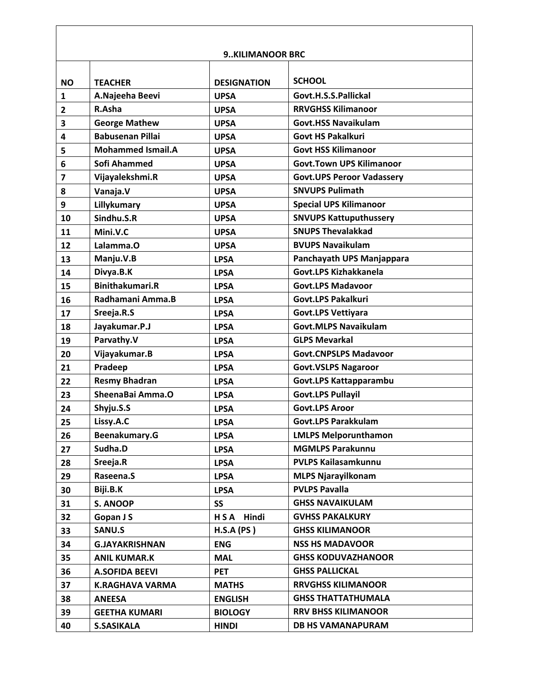|                         |                          | <b>9KILIMANOOR BRC</b> |                                  |
|-------------------------|--------------------------|------------------------|----------------------------------|
| <b>NO</b>               | <b>TEACHER</b>           | <b>DESIGNATION</b>     | <b>SCHOOL</b>                    |
| $\mathbf{1}$            | A.Najeeha Beevi          | <b>UPSA</b>            | Govt.H.S.S.Pallickal             |
| $\mathbf{2}$            | R.Asha                   | <b>UPSA</b>            | <b>RRVGHSS Kilimanoor</b>        |
| 3                       | <b>George Mathew</b>     | <b>UPSA</b>            | <b>Govt.HSS Navaikulam</b>       |
| 4                       | <b>Babusenan Pillai</b>  | <b>UPSA</b>            | <b>Govt HS Pakalkuri</b>         |
| 5                       | <b>Mohammed Ismail.A</b> | <b>UPSA</b>            | <b>Govt HSS Kilimanoor</b>       |
| 6                       | Sofi Ahammed             | <b>UPSA</b>            | <b>Govt.Town UPS Kilimanoor</b>  |
| $\overline{\mathbf{z}}$ | Vijayalekshmi.R          | <b>UPSA</b>            | <b>Govt.UPS Peroor Vadassery</b> |
| 8                       | Vanaja.V                 | <b>UPSA</b>            | <b>SNVUPS Pulimath</b>           |
| 9                       | Lillykumary              | <b>UPSA</b>            | <b>Special UPS Kilimanoor</b>    |
| 10                      | Sindhu.S.R               | <b>UPSA</b>            | <b>SNVUPS Kattuputhussery</b>    |
| 11                      | Mini.V.C                 | <b>UPSA</b>            | <b>SNUPS Thevalakkad</b>         |
| 12                      | Lalamma.O                | <b>UPSA</b>            | <b>BVUPS Navaikulam</b>          |
| 13                      | Manju.V.B                | <b>LPSA</b>            | Panchayath UPS Manjappara        |
| 14                      | Divya.B.K                | <b>LPSA</b>            | Govt.LPS Kizhakkanela            |
| 15                      | <b>Binithakumari.R</b>   | <b>LPSA</b>            | <b>Govt.LPS Madavoor</b>         |
| 16                      | Radhamani Amma.B         | <b>LPSA</b>            | <b>Govt.LPS Pakalkuri</b>        |
| 17                      | Sreeja.R.S               | <b>LPSA</b>            | <b>Govt.LPS Vettiyara</b>        |
| 18                      | Jayakumar.P.J            | <b>LPSA</b>            | <b>Govt.MLPS Navaikulam</b>      |
| 19                      | Parvathy.V               | <b>LPSA</b>            | <b>GLPS Mevarkal</b>             |
| 20                      | Vijayakumar.B            | <b>LPSA</b>            | <b>Govt.CNPSLPS Madavoor</b>     |
| 21                      | Pradeep                  | <b>LPSA</b>            | <b>Govt.VSLPS Nagaroor</b>       |
| 22                      | <b>Resmy Bhadran</b>     | <b>LPSA</b>            | Govt.LPS Kattapparambu           |
| 23                      | SheenaBai Amma.O         | <b>LPSA</b>            | <b>Govt.LPS Pullayil</b>         |
| 24                      | Shyju.S.S                | <b>LPSA</b>            | <b>Govt.LPS Aroor</b>            |
| 25                      | Lissy.A.C                | <b>LPSA</b>            | <b>Govt.LPS Parakkulam</b>       |
| 26                      | Beenakumary.G            | <b>LPSA</b>            | <b>LMLPS Melporunthamon</b>      |
| 27                      | Sudha.D                  | <b>LPSA</b>            | <b>MGMLPS Parakunnu</b>          |
| 28                      | Sreeja.R                 | <b>LPSA</b>            | <b>PVLPS Kailasamkunnu</b>       |
| 29                      | Raseena.S                | <b>LPSA</b>            | <b>MLPS Njarayilkonam</b>        |
| 30                      | Biji.B.K                 | <b>LPSA</b>            | <b>PVLPS Pavalla</b>             |
| 31                      | <b>S. ANOOP</b>          | <b>SS</b>              | <b>GHSS NAVAIKULAM</b>           |
| 32                      | Gopan J S                | HSA Hindi              | <b>GVHSS PAKALKURY</b>           |
| 33                      | SANU.S                   | H.S.A (PS)             | <b>GHSS KILIMANOOR</b>           |
| 34                      | <b>G.JAYAKRISHNAN</b>    | <b>ENG</b>             | <b>NSS HS MADAVOOR</b>           |
| 35                      | <b>ANIL KUMAR.K</b>      | <b>MAL</b>             | <b>GHSS KODUVAZHANOOR</b>        |
| 36                      | <b>A.SOFIDA BEEVI</b>    | <b>PET</b>             | <b>GHSS PALLICKAL</b>            |
| 37                      | <b>K.RAGHAVA VARMA</b>   | <b>MATHS</b>           | <b>RRVGHSS KILIMANOOR</b>        |
| 38                      | <b>ANEESA</b>            | <b>ENGLISH</b>         | <b>GHSS THATTATHUMALA</b>        |
| 39                      | <b>GEETHA KUMARI</b>     | <b>BIOLOGY</b>         | <b>RRV BHSS KILIMANOOR</b>       |
| 40                      | <b>S.SASIKALA</b>        | <b>HINDI</b>           | <b>DB HS VAMANAPURAM</b>         |

 $\mathbf{r}$